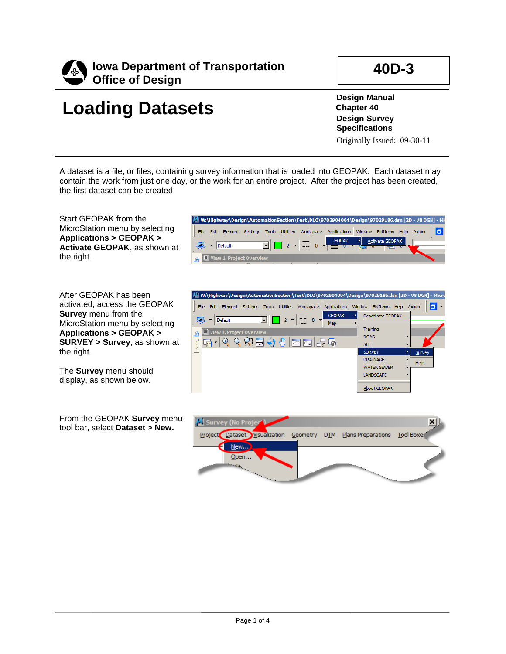

## **40D-3**

## **Loading Datasets**

**Design Manual Chapter 40 Design Survey Specifications** Originally Issued: 09-30-11

A dataset is a file, or files, containing survey information that is loaded into GEOPAK. Each dataset may contain the work from just one day, or the work for an entire project. After the project has been created, the first dataset can be created.

Start GEOPAK from the MicroStation menu by selecting **Applications > GEOPAK > Activate GEOPAK**, as shown at the right.

After GEOPAK has been activated, access the GEOPAK **Survey** menu from the MicroStation menu by selecting **Applications > GEOPAK > SURVEY > Survey**, as shown at the right.

The **Survey** menu should display, as shown below.

From the GEOPAK **Survey** menu tool bar, select **Dataset > New.**





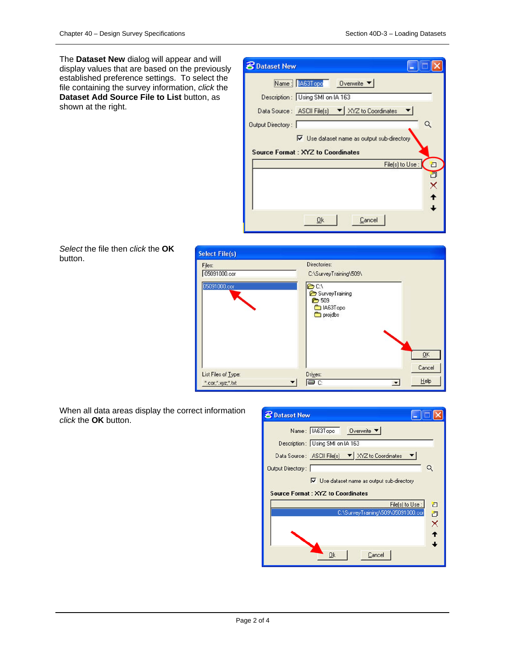The **Dataset New** dialog will appear and will display values that are based on the previously established preference settings. To select the file containing the survey information, *click* the **Dataset Add Source File to List** button, as shown at the right.

| Description: Using SMI on IA 163                                   | Name: 1463Topo                                           | Overwrite $\blacktriangledown$ |                  |                                 |
|--------------------------------------------------------------------|----------------------------------------------------------|--------------------------------|------------------|---------------------------------|
| Data Source: ASCII File(s) $\blacktriangledown$ XYZ to Coordinates |                                                          |                                |                  |                                 |
| Output Directory:                                                  |                                                          |                                |                  | Q                               |
|                                                                    | $\triangledown$ Use dataset name as output sub-directory |                                |                  |                                 |
| <b>Source Format: XYZ to Coordinates</b>                           |                                                          |                                |                  |                                 |
|                                                                    |                                                          |                                | File(s) to Use : |                                 |
|                                                                    |                                                          |                                |                  | $\Box$<br>回<br>X<br>$\ddotmark$ |

*Select* the file then *click* the **OK** button.

| <b>Select File(s)</b>                    |                                                                                                                                           |
|------------------------------------------|-------------------------------------------------------------------------------------------------------------------------------------------|
| Files:<br>05091000.cor<br>05091000.cor   | Directories:<br>C:\SurveyTraining\509\<br>$\rightarrow$ C:V<br>SurveyTraining<br>$\rightarrow$ 509<br>LA63Topo<br>projdbs<br>QK<br>Cancel |
| List Files of Type:<br>".cor,".xyz,".txt | Drives:<br>$He$ lp<br>OC:<br>$\blacktriangledown$                                                                                         |

When all data areas display the correct information *click* the **OK** button.

| <b>B</b> Dataset New                                               |                 |
|--------------------------------------------------------------------|-----------------|
| Name: IA63Topo Overwrite                                           |                 |
| Description: Using SMI on IA 163                                   |                 |
| Data Source: ASCII File(s) $\blacktriangledown$ XYZ to Coordinates |                 |
| Output Directory:                                                  |                 |
| $\triangledown$ Use dataset name as output sub-directory           |                 |
| <b>Source Format: XYZ to Coordinates</b>                           |                 |
|                                                                    | File(s) to Use: |
| C:\SurveyTraining\509\05091000.cor                                 | aax 4           |
|                                                                    |                 |
|                                                                    |                 |
|                                                                    |                 |
| Cancel<br>Ok                                                       |                 |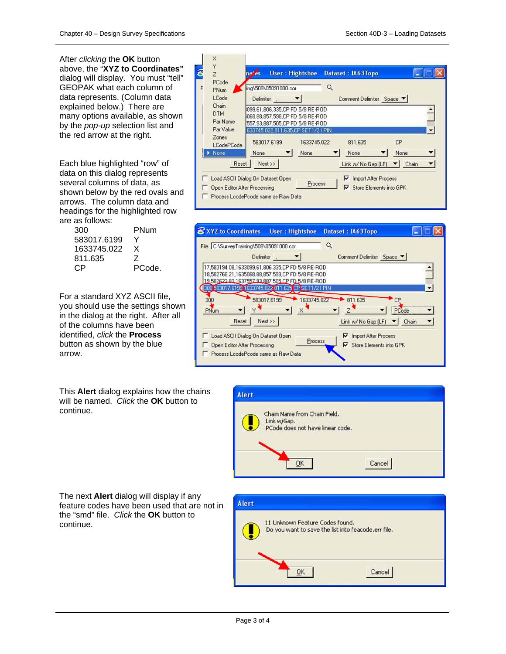After *clicking* the **OK** button above, the "**XYZ to Coordinates"** dialog will display. You must "tell" GEOPAK what each column of data represents. (Column data explained below.) There are many options available, as shown by the *pop-up* selection list and the red arrow at the right.

Each blue highlighted "row" of data on this dialog represents several columns of data, as shown below by the red ovals and arrows. The column data and headings for the highlighted row are as follows:

| 300         | PNum   |
|-------------|--------|
| 583017.6199 | v      |
| 1633745.022 | x      |
| 811.635     | 7      |
| C.P         | PCode. |

For a standard XYZ ASCII file, you should use the settings shown in the dialog at the right. After all of the columns have been identified, *click* the **Process** button as shown by the blue arrow.

This **Alert** dialog explains how the chains will be named. *Click* the **OK** button to continue.

The next **Alert** dialog will display if any feature codes have been used that are not in the "smd" file. *Click* the **OK** button to continue.

| PCode<br>PNum                                | ing\509\05091000.cor                                                                                  | Q           |                     |                           |  |
|----------------------------------------------|-------------------------------------------------------------------------------------------------------|-------------|---------------------|---------------------------|--|
| LCode                                        | Delimiter.                                                                                            |             |                     | Comment Delimiter Space ▼ |  |
| Chain<br><b>DTM</b><br>Par Name<br>Par Value | 099.61.806.335.CP FD 5/8 RE-ROD<br>068.88.857.598.CP FD 5/8 RE-ROD<br>557.93,887.505,CP FD 5/8 RE-ROD |             |                     |                           |  |
| Zones<br><b>LCodePCode</b>                   | 633745.022.811.635.CP SET1/21 PIN<br>583017.6199                                                      | 1633745.022 | 811.635             | CP                        |  |
| None.                                        | None                                                                                                  | None        | None                | None                      |  |
| Reset                                        | $Next$ $>$                                                                                            |             | Link w/ No Gap (LF) | Chain                     |  |





| <b>Alert</b>                                                                           |        |
|----------------------------------------------------------------------------------------|--------|
| 11 Unknown Feature Codes found.<br>Do you want to save the list into feacode.err file. |        |
|                                                                                        | Cancel |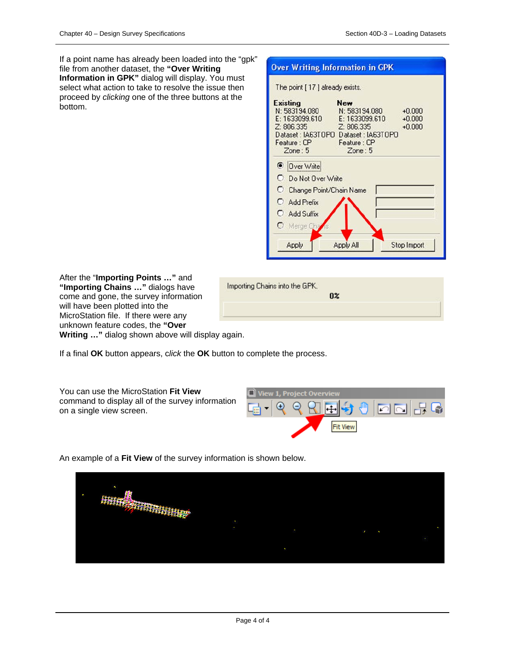If a point name has already been loaded into the "gpk" file from another dataset, the **"Over Writing Information in GPK"** dialog will display. You must select what action to take to resolve the issue then proceed by *clicking* one of the three buttons at the bottom.

| <b>Existing</b>              | <b>New</b>                                           |
|------------------------------|------------------------------------------------------|
| N: 583194.080                | $+0.000$<br>N: 583194.080                            |
| E: 1633099.610<br>Z: 806.335 | E: 1633099.610<br>$+0.000$<br>Z: 806.335<br>$+0.000$ |
|                              | Dataset: IA63TOPO Dataset: IA63TOPO                  |
| Feature : CP                 | Feature : CP                                         |
| Zone:5                       | Zone:5                                               |
| <b>O</b> Over Write          |                                                      |
| <b>O</b> Do Not Over Write   |                                                      |
| O<br>Change Point/Chain Name |                                                      |
| C Add Prefix                 |                                                      |
| C Add Suffix                 |                                                      |
|                              |                                                      |

After the "**Importing Points …"** and **"Importing Chains …"** dialogs have come and gone, the survey information will have been plotted into the MicroStation file. If there were any unknown feature codes, the **"Over Writing …"** dialog shown above will display again.

| Importing Chains into the GPK. | 0 <sup>2</sup> |
|--------------------------------|----------------|
|                                |                |

If a final **OK** button appears, c*lick* the **OK** button to complete the process.

You can use the MicroStation **Fit View** command to display all of the survey information on a single view screen.



An example of a **Fit View** of the survey information is shown below.